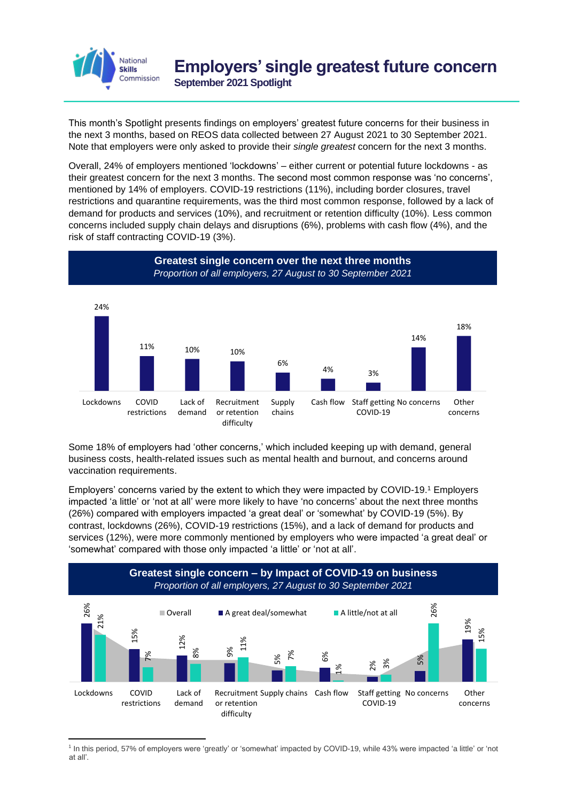

This month's Spotlight presents findings on employers' greatest future concerns for their business in the next 3 months, based on REOS data collected between 27 August 2021 to 30 September 2021. Note that employers were only asked to provide their *single greatest* concern for the next 3 months.

Overall, 24% of employers mentioned 'lockdowns' – either current or potential future lockdowns - as their greatest concern for the next 3 months. The second most common response was 'no concerns', mentioned by 14% of employers. COVID-19 restrictions (11%), including border closures, travel restrictions and quarantine requirements, was the third most common response, followed by a lack of demand for products and services (10%), and recruitment or retention difficulty (10%). Less common concerns included supply chain delays and disruptions (6%), problems with cash flow (4%), and the risk of staff contracting COVID-19 (3%).



Some 18% of employers had 'other concerns,' which included keeping up with demand, general business costs, health-related issues such as mental health and burnout, and concerns around vaccination requirements.

Employers' concerns varied by the extent to which they were impacted by COVID-19. <sup>1</sup> Employers impacted 'a little' or 'not at all' were more likely to have 'no concerns' about the next three months (26%) compared with employers impacted 'a great deal' or 'somewhat' by COVID-19 (5%). By contrast, lockdowns (26%), COVID-19 restrictions (15%), and a lack of demand for products and services (12%), were more commonly mentioned by employers who were impacted 'a great deal' or 'somewhat' compared with those only impacted 'a little' or 'not at all'.



1 In this period, 57% of employers were 'greatly' or 'somewhat' impacted by COVID-19, while 43% were impacted 'a little' or 'not at all'.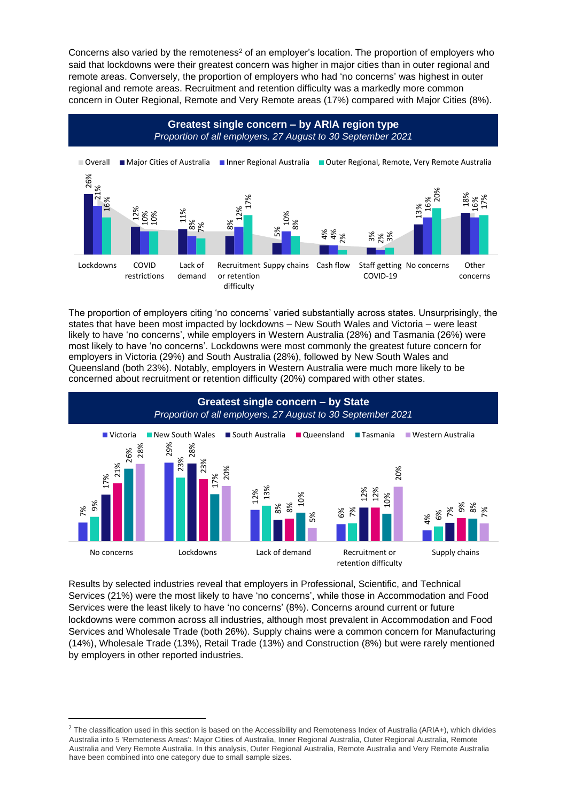Concerns also varied by the remoteness<sup>2</sup> of an employer's location. The proportion of employers who said that lockdowns were their greatest concern was higher in major cities than in outer regional and remote areas. Conversely, the proportion of employers who had 'no concerns' was highest in outer regional and remote areas. Recruitment and retention difficulty was a markedly more common concern in Outer Regional, Remote and Very Remote areas (17%) compared with Major Cities (8%).



The proportion of employers citing 'no concerns' varied substantially across states. Unsurprisingly, the states that have been most impacted by lockdowns – New South Wales and Victoria – were least likely to have 'no concerns', while employers in Western Australia (28%) and Tasmania (26%) were most likely to have 'no concerns'. Lockdowns were most commonly the greatest future concern for employers in Victoria (29%) and South Australia (28%), followed by New South Wales and Queensland (both 23%). Notably, employers in Western Australia were much more likely to be concerned about recruitment or retention difficulty (20%) compared with other states.



Results by selected industries reveal that employers in Professional, Scientific, and Technical Services (21%) were the most likely to have 'no concerns', while those in Accommodation and Food Services were the least likely to have 'no concerns' (8%). Concerns around current or future lockdowns were common across all industries, although most prevalent in Accommodation and Food Services and Wholesale Trade (both 26%). Supply chains were a common concern for Manufacturing (14%), Wholesale Trade (13%), Retail Trade (13%) and Construction (8%) but were rarely mentioned by employers in other reported industries.

<sup>&</sup>lt;sup>2</sup> The classification used in this section is based on the Accessibility and Remoteness Index of Australia (ARIA+), which divides Australia into 5 'Remoteness Areas': Major Cities of Australia, Inner Regional Australia, Outer Regional Australia, Remote Australia and Very Remote Australia. In this analysis, Outer Regional Australia, Remote Australia and Very Remote Australia